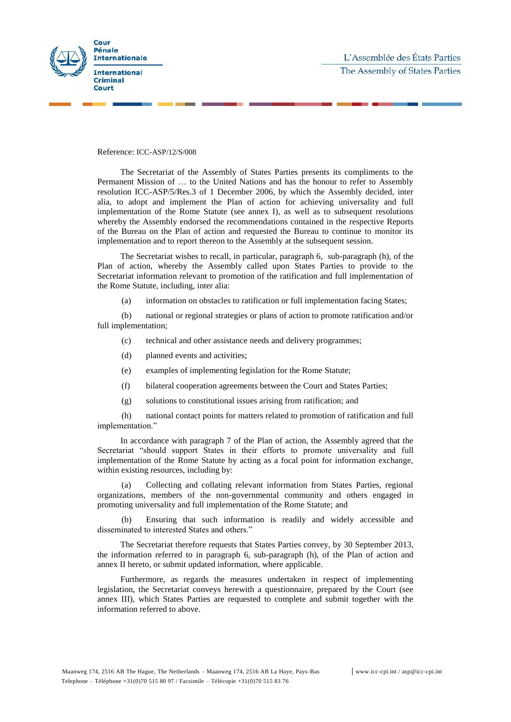

Reference: ICC-ASP/12/S/008

The Secretariat of the Assembly of States Parties presents its compliments to the Permanent Mission of … to the United Nations and has the honour to refer to Assembly resolution ICC-ASP/5/Res.3 of 1 December 2006, by which the Assembly decided, inter alia*,* to adopt and implement the Plan of action for achieving universality and full implementation of the Rome Statute (see annex I), as well as to subsequent resolutions whereby the Assembly endorsed the recommendations contained in the respective Reports of the Bureau on the Plan of action and requested the Bureau to continue to monitor its implementation and to report thereon to the Assembly at the subsequent session.

The Secretariat wishes to recall, in particular, paragraph 6, sub-paragraph (h), of the Plan of action, whereby the Assembly called upon States Parties to provide to the Secretariat information relevant to promotion of the ratification and full implementation of the Rome Statute, including, inter alia:

(a) information on obstacles to ratification or full implementation facing States;

(b) national or regional strategies or plans of action to promote ratification and/or full implementation;

- (c) technical and other assistance needs and delivery programmes;
- (d) planned events and activities;
- (e) examples of implementing legislation for the Rome Statute;
- (f) bilateral cooperation agreements between the Court and States Parties;
- (g) solutions to constitutional issues arising from ratification; and

(h) national contact points for matters related to promotion of ratification and full implementation."

In accordance with paragraph 7 of the Plan of action, the Assembly agreed that the Secretariat "should support States in their efforts to promote universality and full implementation of the Rome Statute by acting as a focal point for information exchange, within existing resources, including by:

(a) Collecting and collating relevant information from States Parties, regional organizations, members of the non-governmental community and others engaged in promoting universality and full implementation of the Rome Statute; and

(b) Ensuring that such information is readily and widely accessible and disseminated to interested States and others."

The Secretariat therefore requests that States Parties convey, by 30 September 2013, the information referred to in paragraph 6, sub-paragraph (h), of the Plan of action and annex II hereto, or submit updated information, where applicable.

Furthermore, as regards the measures undertaken in respect of implementing legislation, the Secretariat conveys herewith a questionnaire, prepared by the Court (see annex III), which States Parties are requested to complete and submit together with the information referred to above.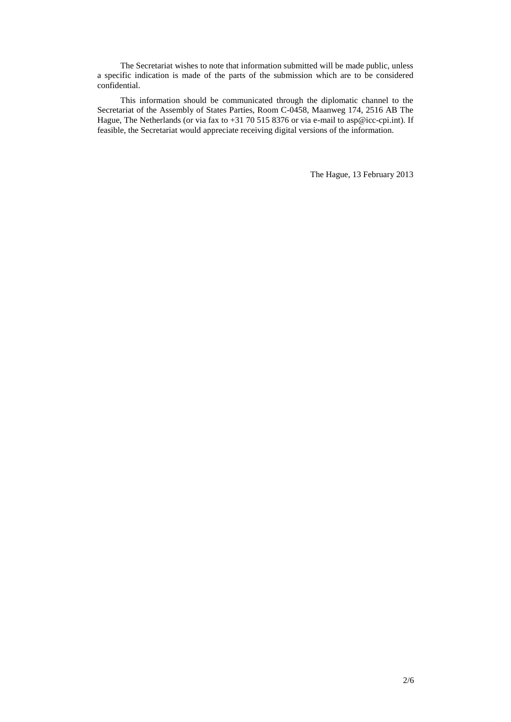The Secretariat wishes to note that information submitted will be made public, unless a specific indication is made of the parts of the submission which are to be considered confidential.

This information should be communicated through the diplomatic channel to the Secretariat of the Assembly of States Parties, Room C-0458, Maanweg 174, 2516 AB The Hague, The Netherlands (or via fax to +31 70 515 8376 or via e-mail to [asp@icc-cpi.int\)](mailto:asp@asp.ic-cpi.int). If feasible, the Secretariat would appreciate receiving digital versions of the information.

The Hague, 13 February 2013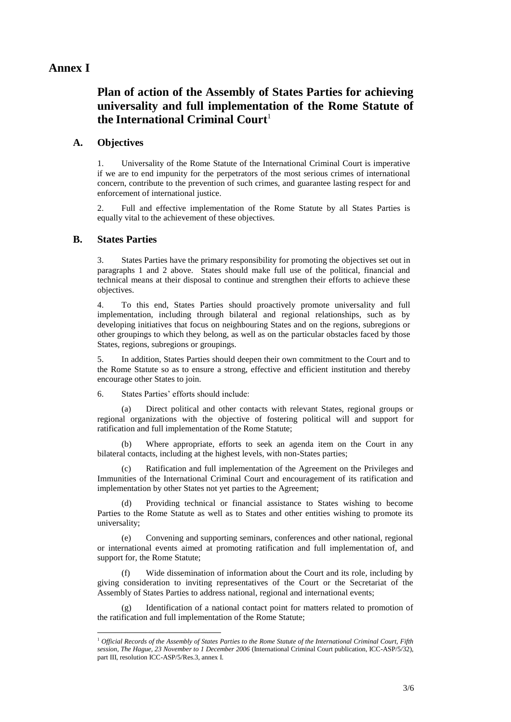### **Annex I**

# **Plan of action of the Assembly of States Parties for achieving universality and full implementation of the Rome Statute of the International Criminal Court**<sup>1</sup>

#### **A. Objectives**

1. Universality of the Rome Statute of the International Criminal Court is imperative if we are to end impunity for the perpetrators of the most serious crimes of international concern, contribute to the prevention of such crimes, and guarantee lasting respect for and enforcement of international justice.

2. Full and effective implementation of the Rome Statute by all States Parties is equally vital to the achievement of these objectives.

#### **B. States Parties**

 $\overline{a}$ 

3. States Parties have the primary responsibility for promoting the objectives set out in paragraphs 1 and 2 above. States should make full use of the political, financial and technical means at their disposal to continue and strengthen their efforts to achieve these objectives.

4. To this end, States Parties should proactively promote universality and full implementation, including through bilateral and regional relationships, such as by developing initiatives that focus on neighbouring States and on the regions, subregions or other groupings to which they belong, as well as on the particular obstacles faced by those States, regions, subregions or groupings.

5. In addition, States Parties should deepen their own commitment to the Court and to the Rome Statute so as to ensure a strong, effective and efficient institution and thereby encourage other States to join.

6. States Parties' efforts should include:

(a) Direct political and other contacts with relevant States, regional groups or regional organizations with the objective of fostering political will and support for ratification and full implementation of the Rome Statute;

(b) Where appropriate, efforts to seek an agenda item on the Court in any bilateral contacts, including at the highest levels, with non-States parties;

(c) Ratification and full implementation of the Agreement on the Privileges and Immunities of the International Criminal Court and encouragement of its ratification and implementation by other States not yet parties to the Agreement;

(d) Providing technical or financial assistance to States wishing to become Parties to the Rome Statute as well as to States and other entities wishing to promote its universality;

Convening and supporting seminars, conferences and other national, regional or international events aimed at promoting ratification and full implementation of, and support for, the Rome Statute;

(f) Wide dissemination of information about the Court and its role, including by giving consideration to inviting representatives of the Court or the Secretariat of the Assembly of States Parties to address national, regional and international events;

(g) Identification of a national contact point for matters related to promotion of the ratification and full implementation of the Rome Statute;

<sup>1</sup> *Official Records of the Assembly of States Parties to the Rome Statute of the International Criminal Court, Fifth session, The Hague, 23 November to 1 December 2006* (International Criminal Court publication, ICC-ASP/5/32), part III, resolution ICC-ASP/5/Res.3, annex I.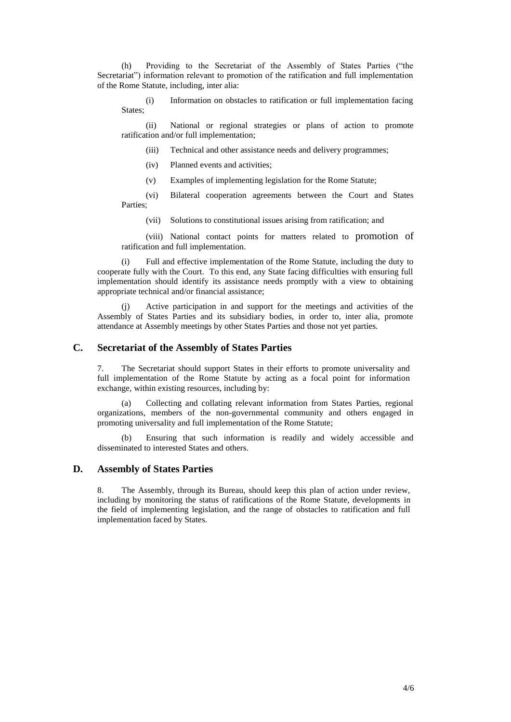(h) Providing to the Secretariat of the Assembly of States Parties ("the Secretariat") information relevant to promotion of the ratification and full implementation of the Rome Statute, including, inter alia:

(i) Information on obstacles to ratification or full implementation facing States;

(ii) National or regional strategies or plans of action to promote ratification and/or full implementation;

(iii) Technical and other assistance needs and delivery programmes;

- (iv) Planned events and activities;
- (v) Examples of implementing legislation for the Rome Statute;

(vi) Bilateral cooperation agreements between the Court and States Parties;

(vii) Solutions to constitutional issues arising from ratification; and

(viii) National contact points for matters related to promotion of ratification and full implementation.

(i) Full and effective implementation of the Rome Statute, including the duty to cooperate fully with the Court. To this end, any State facing difficulties with ensuring full implementation should identify its assistance needs promptly with a view to obtaining appropriate technical and/or financial assistance;

(j) Active participation in and support for the meetings and activities of the Assembly of States Parties and its subsidiary bodies, in order to, inter alia, promote attendance at Assembly meetings by other States Parties and those not yet parties.

#### **C. Secretariat of the Assembly of States Parties**

7. The Secretariat should support States in their efforts to promote universality and full implementation of the Rome Statute by acting as a focal point for information exchange, within existing resources, including by:

(a) Collecting and collating relevant information from States Parties, regional organizations, members of the non-governmental community and others engaged in promoting universality and full implementation of the Rome Statute;

(b) Ensuring that such information is readily and widely accessible and disseminated to interested States and others.

#### **D. Assembly of States Parties**

8. The Assembly, through its Bureau, should keep this plan of action under review, including by monitoring the status of ratifications of the Rome Statute, developments in the field of implementing legislation, and the range of obstacles to ratification and full implementation faced by States.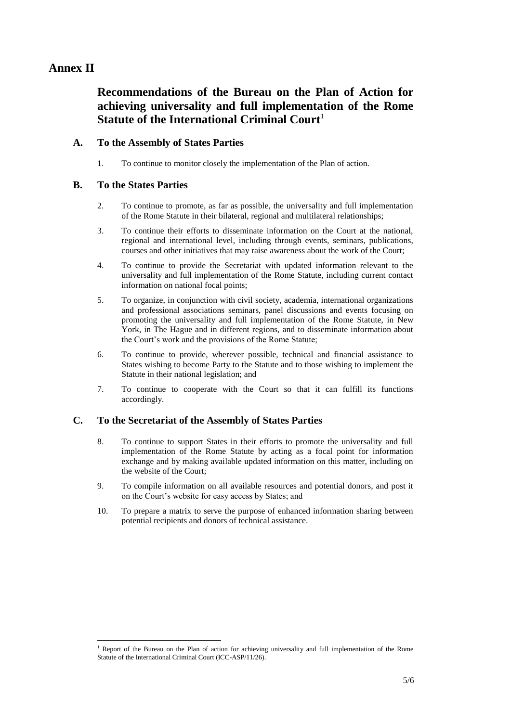# **Annex II**

# **Recommendations of the Bureau on the Plan of Action for achieving universality and full implementation of the Rome Statute of the International Criminal Court**<sup>1</sup>

### **A. To the Assembly of States Parties**

1. To continue to monitor closely the implementation of the Plan of action.

#### **B. To the States Parties**

 $\overline{a}$ 

- 2. To continue to promote, as far as possible, the universality and full implementation of the Rome Statute in their bilateral, regional and multilateral relationships;
- 3. To continue their efforts to disseminate information on the Court at the national, regional and international level, including through events, seminars, publications, courses and other initiatives that may raise awareness about the work of the Court;
- 4. To continue to provide the Secretariat with updated information relevant to the universality and full implementation of the Rome Statute, including current contact information on national focal points;
- 5. To organize, in conjunction with civil society, academia, international organizations and professional associations seminars, panel discussions and events focusing on promoting the universality and full implementation of the Rome Statute, in New York, in The Hague and in different regions, and to disseminate information about the Court's work and the provisions of the Rome Statute;
- 6. To continue to provide, wherever possible, technical and financial assistance to States wishing to become Party to the Statute and to those wishing to implement the Statute in their national legislation; and
- 7. To continue to cooperate with the Court so that it can fulfill its functions accordingly.

## **C. To the Secretariat of the Assembly of States Parties**

- 8. To continue to support States in their efforts to promote the universality and full implementation of the Rome Statute by acting as a focal point for information exchange and by making available updated information on this matter, including on the website of the Court;
- 9. To compile information on all available resources and potential donors, and post it on the Court's website for easy access by States; and
- 10. To prepare a matrix to serve the purpose of enhanced information sharing between potential recipients and donors of technical assistance.

<sup>1</sup> Report of the Bureau on the Plan of action for achieving universality and full implementation of the Rome Statute of the International Criminal Court (ICC-ASP/11/26).